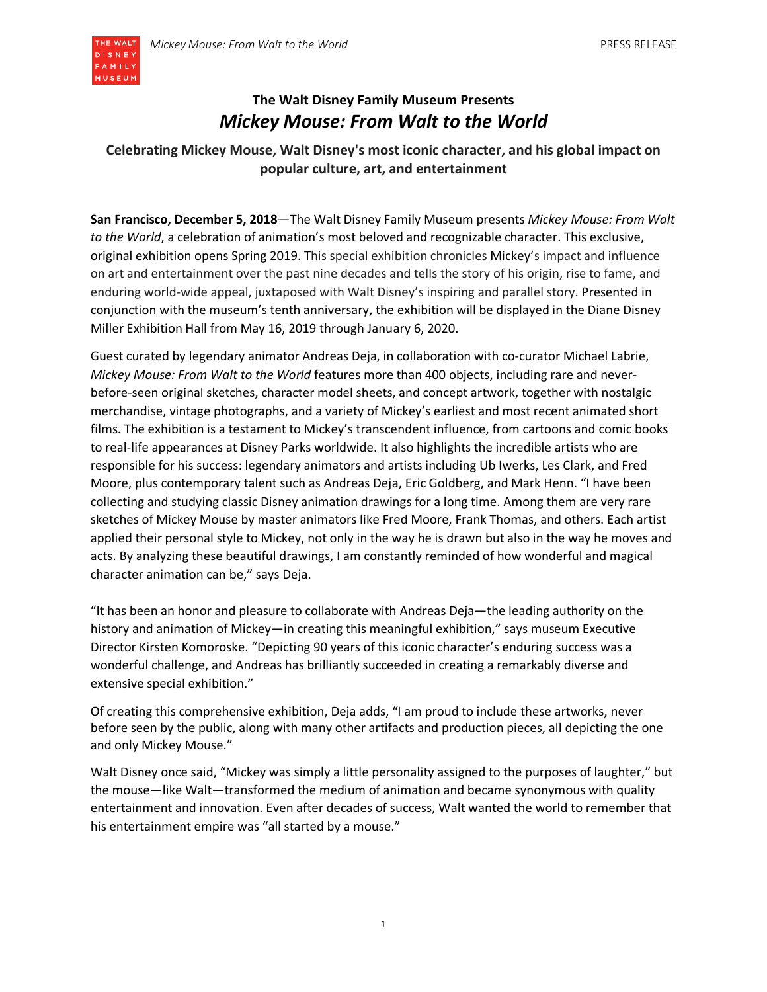

# **The Walt Disney Family Museum Presents** *Mickey Mouse: From Walt to the World*

# **Celebrating Mickey Mouse, Walt Disney's most iconic character, and his global impact on popular culture, art, and entertainment**

**San Francisco, December 5, 2018**—The Walt Disney Family Museum presents *Mickey Mouse: From Walt to the World*, a celebration of animation's most beloved and recognizable character. This exclusive, original exhibition opens Spring 2019. This special exhibition chronicles Mickey's impact and influence on art and entertainment over the past nine decades and tells the story of his origin, rise to fame, and enduring world-wide appeal, juxtaposed with Walt Disney's inspiring and parallel story. Presented in conjunction with the museum's tenth anniversary, the exhibition will be displayed in the Diane Disney Miller Exhibition Hall from May 16, 2019 through January 6, 2020.

Guest curated by legendary animator Andreas Deja, in collaboration with co-curator Michael Labrie, *Mickey Mouse: From Walt to the World* features more than 400 objects, including rare and neverbefore-seen original sketches, character model sheets, and concept artwork, together with nostalgic merchandise, vintage photographs, and a variety of Mickey's earliest and most recent animated short films. The exhibition is a testament to Mickey's transcendent influence, from cartoons and comic books to real-life appearances at Disney Parks worldwide. It also highlights the incredible artists who are responsible for his success: legendary animators and artists including Ub Iwerks, Les Clark, and Fred Moore, plus contemporary talent such as Andreas Deja, Eric Goldberg, and Mark Henn. "I have been collecting and studying classic Disney animation drawings for a long time. Among them are very rare sketches of Mickey Mouse by master animators like Fred Moore, Frank Thomas, and others. Each artist applied their personal style to Mickey, not only in the way he is drawn but also in the way he moves and acts. By analyzing these beautiful drawings, I am constantly reminded of how wonderful and magical character animation can be," says Deja.

"It has been an honor and pleasure to collaborate with Andreas Deja—the leading authority on the history and animation of Mickey—in creating this meaningful exhibition," says museum Executive Director Kirsten Komoroske. "Depicting 90 years of this iconic character's enduring success was a wonderful challenge, and Andreas has brilliantly succeeded in creating a remarkably diverse and extensive special exhibition."

Of creating this comprehensive exhibition, Deja adds, "I am proud to include these artworks, never before seen by the public, along with many other artifacts and production pieces, all depicting the one and only Mickey Mouse."

Walt Disney once said, "Mickey was simply a little personality assigned to the purposes of laughter," but the mouse—like Walt—transformed the medium of animation and became synonymous with quality entertainment and innovation. Even after decades of success, Walt wanted the world to remember that his entertainment empire was "all started by a mouse."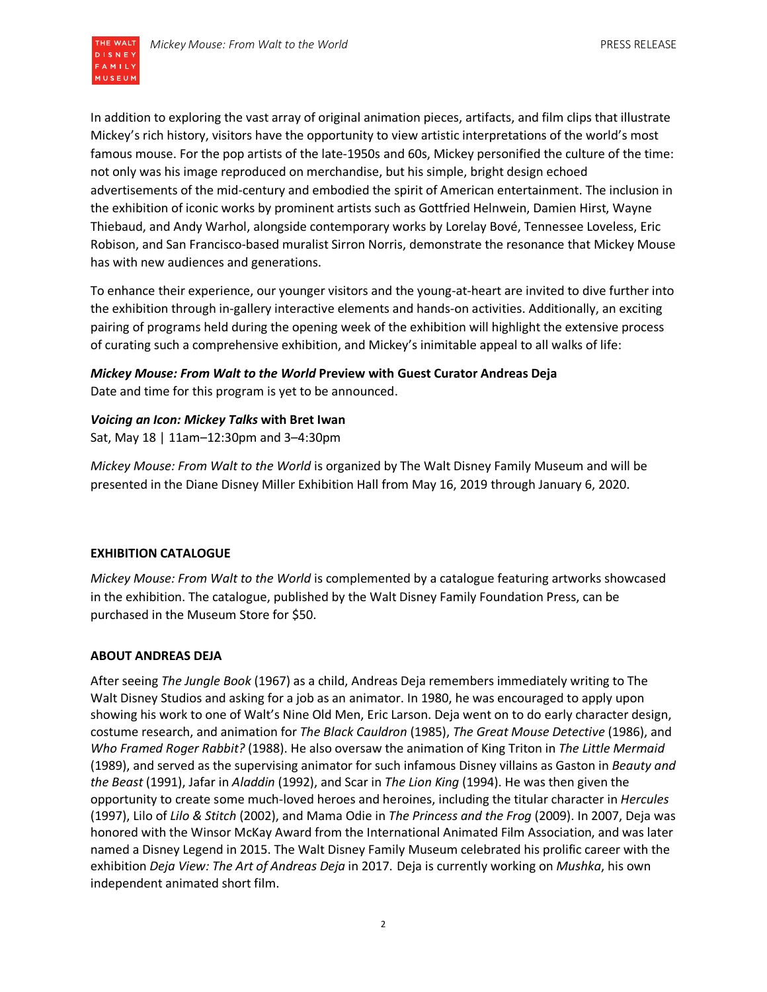

In addition to exploring the vast array of original animation pieces, artifacts, and film clips that illustrate Mickey's rich history, visitors have the opportunity to view artistic interpretations of the world's most famous mouse. For the pop artists of the late-1950s and 60s, Mickey personified the culture of the time: not only was his image reproduced on merchandise, but his simple, bright design echoed advertisements of the mid-century and embodied the spirit of American entertainment. The inclusion in the exhibition of iconic works by prominent artists such as Gottfried Helnwein, Damien Hirst, Wayne Thiebaud, and Andy Warhol, alongside contemporary works by Lorelay Bové, Tennessee Loveless, Eric Robison, and San Francisco-based muralist Sirron Norris, demonstrate the resonance that Mickey Mouse has with new audiences and generations.

To enhance their experience, our younger visitors and the young-at-heart are invited to dive further into the exhibition through in-gallery interactive elements and hands-on activities. Additionally, an exciting pairing of programs held during the opening week of the exhibition will highlight the extensive process of curating such a comprehensive exhibition, and Mickey's inimitable appeal to all walks of life:

## *Mickey Mouse: From Walt to the World* **Preview with Guest Curator Andreas Deja** Date and time for this program is yet to be announced.

### *Voicing an Icon: Mickey Talks* **with Bret Iwan**

Sat, May 18 | 11am–12:30pm and 3–4:30pm

*Mickey Mouse: From Walt to the World* is organized by The Walt Disney Family Museum and will be presented in the Diane Disney Miller Exhibition Hall from May 16, 2019 through January 6, 2020.

### **EXHIBITION CATALOGUE**

*Mickey Mouse: From Walt to the World* is complemented by a catalogue featuring artworks showcased in the exhibition. The catalogue, published by the Walt Disney Family Foundation Press, can be purchased in the Museum Store for \$50.

#### **ABOUT ANDREAS DEJA**

After seeing *The Jungle Book* (1967) as a child, Andreas Deja remembers immediately writing to The Walt Disney Studios and asking for a job as an animator. In 1980, he was encouraged to apply upon showing his work to one of Walt's Nine Old Men, Eric Larson. Deja went on to do early character design, costume research, and animation for *The Black Cauldron* (1985), *The Great Mouse Detective* (1986), and *Who Framed Roger Rabbit?* (1988). He also oversaw the animation of King Triton in *The Little Mermaid*  (1989), and served as the supervising animator for such infamous Disney villains as Gaston in *Beauty and the Beast* (1991), Jafar in *Aladdin* (1992), and Scar in *The Lion King* (1994). He was then given the opportunity to create some much-loved heroes and heroines, including the titular character in *Hercules*  (1997), Lilo of *Lilo & Stitch* (2002), and Mama Odie in *The Princess and the Frog* (2009). In 2007, Deja was honored with the Winsor McKay Award from the International Animated Film Association, and was later named a Disney Legend in 2015. The Walt Disney Family Museum celebrated his prolific career with the exhibition *Deja View: The Art of Andreas Deja* in 2017. Deja is currently working on *Mushka*, his own independent animated short film.